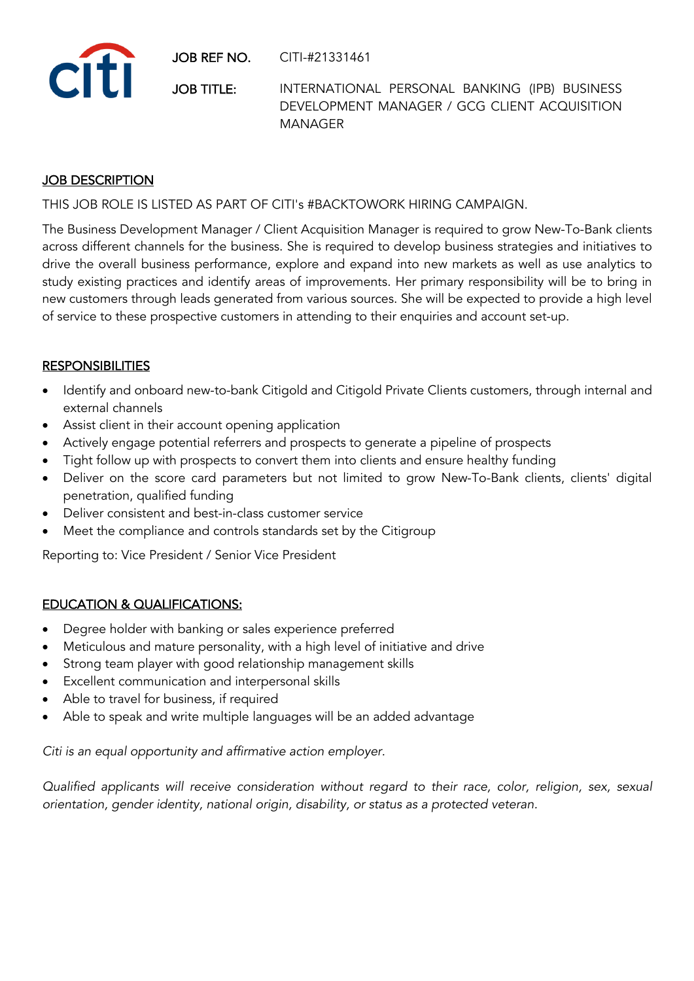JOB REF NO. CITI-#21331461



JOB TITLE: INTERNATIONAL PERSONAL BANKING (IPB) BUSINESS DEVELOPMENT MANAGER / GCG CLIENT ACQUISITION MANAGER

## **JOB DESCRIPTION**

THIS JOB ROLE IS LISTED AS PART OF CITI's #BACKTOWORK HIRING CAMPAIGN.

The Business Development Manager / Client Acquisition Manager is required to grow New-To-Bank clients across different channels for the business. She is required to develop business strategies and initiatives to drive the overall business performance, explore and expand into new markets as well as use analytics to study existing practices and identify areas of improvements. Her primary responsibility will be to bring in new customers through leads generated from various sources. She will be expected to provide a high level of service to these prospective customers in attending to their enquiries and account set-up.

## **RESPONSIBILITIES**

- Identify and onboard new-to-bank Citigold and Citigold Private Clients customers, through internal and external channels
- Assist client in their account opening application
- Actively engage potential referrers and prospects to generate a pipeline of prospects
- Tight follow up with prospects to convert them into clients and ensure healthy funding
- Deliver on the score card parameters but not limited to grow New-To-Bank clients, clients' digital penetration, qualified funding
- Deliver consistent and best-in-class customer service
- Meet the compliance and controls standards set by the Citigroup

Reporting to: Vice President / Senior Vice President

## EDUCATION & QUALIFICATIONS:

- Degree holder with banking or sales experience preferred
- Meticulous and mature personality, with a high level of initiative and drive
- Strong team player with good relationship management skills
- Excellent communication and interpersonal skills
- Able to travel for business, if required
- Able to speak and write multiple languages will be an added advantage

*Citi is an equal opportunity and affirmative action employer.*

*Qualified applicants will receive consideration without regard to their race, color, religion, sex, sexual orientation, gender identity, national origin, disability, or status as a protected veteran.*